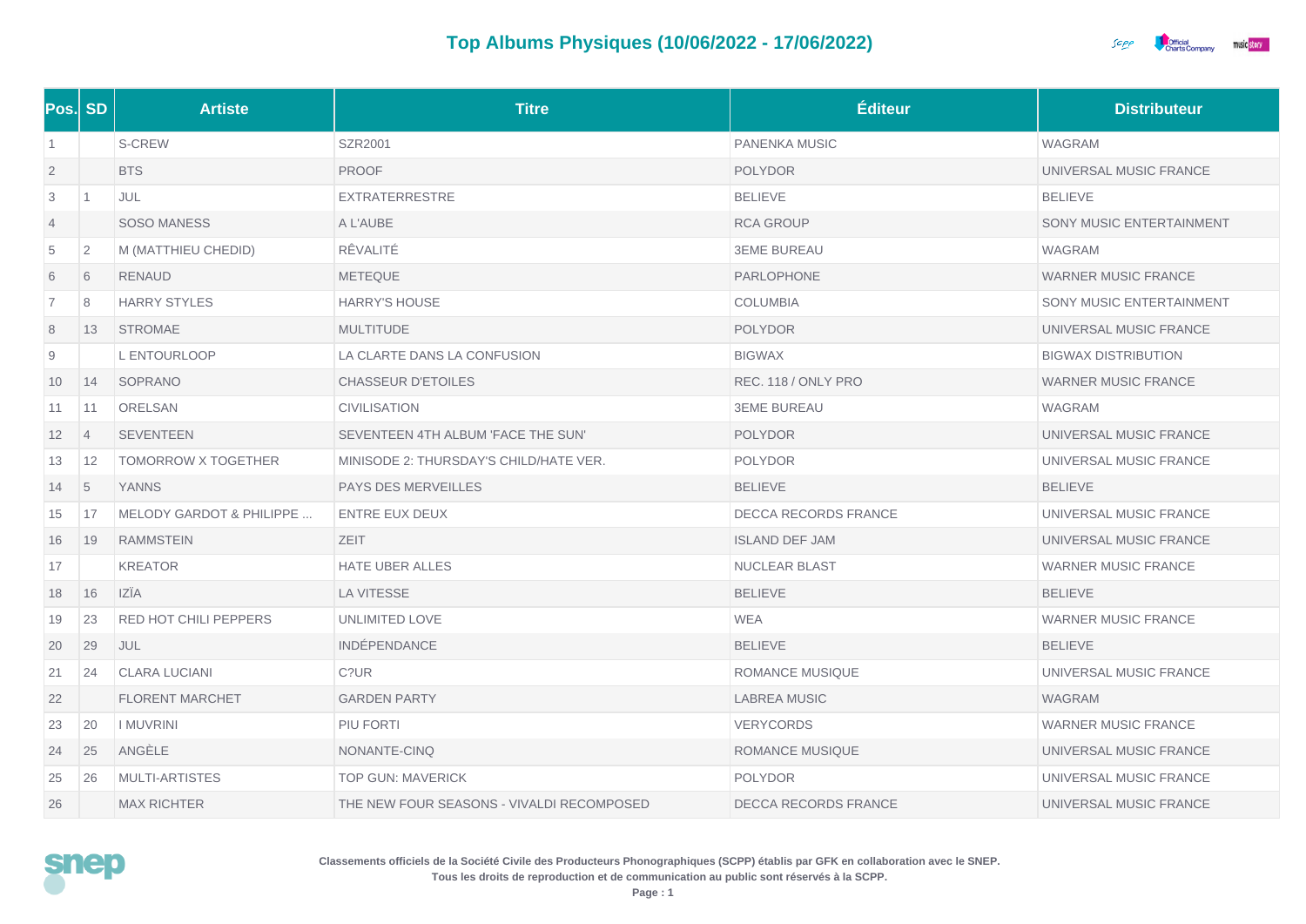

|                | Pos. SD        | <b>Artiste</b>                      | <b>Titre</b>                              | <b>Éditeur</b>              | <b>Distributeur</b>        |
|----------------|----------------|-------------------------------------|-------------------------------------------|-----------------------------|----------------------------|
| $\vert$ 1      |                | S-CREW                              | <b>SZR2001</b>                            | <b>PANENKA MUSIC</b>        | <b>WAGRAM</b>              |
| $\overline{2}$ |                | <b>BTS</b>                          | <b>PROOF</b>                              | <b>POLYDOR</b>              | UNIVERSAL MUSIC FRANCE     |
| 3              | 1              | JUL                                 | <b>EXTRATERRESTRE</b>                     | <b>BELIEVE</b>              | <b>BELIEVE</b>             |
| $\overline{4}$ |                | <b>SOSO MANESS</b>                  | A L'AUBE                                  | <b>RCA GROUP</b>            | SONY MUSIC ENTERTAINMENT   |
| 5              | $\overline{2}$ | M (MATTHIEU CHEDID)                 | RÊVALITÉ                                  | <b>3EME BUREAU</b>          | WAGRAM                     |
| 6              | 6              | <b>RENAUD</b>                       | <b>METEQUE</b>                            | PARLOPHONE                  | <b>WARNER MUSIC FRANCE</b> |
| $\overline{7}$ | 8              | <b>HARRY STYLES</b>                 | HARRY'S HOUSE                             | <b>COLUMBIA</b>             | SONY MUSIC ENTERTAINMENT   |
| 8              | 13             | <b>STROMAE</b>                      | <b>MULTITUDE</b>                          | <b>POLYDOR</b>              | UNIVERSAL MUSIC FRANCE     |
| 9              |                | L ENTOURLOOP                        | LA CLARTE DANS LA CONFUSION               | <b>BIGWAX</b>               | <b>BIGWAX DISTRIBUTION</b> |
| 10             | 14             | SOPRANO                             | <b>CHASSEUR D'ETOILES</b>                 | REC. 118 / ONLY PRO         | <b>WARNER MUSIC FRANCE</b> |
| 11             | 11             | <b>ORELSAN</b>                      | <b>CIVILISATION</b>                       | <b>3EME BUREAU</b>          | <b>WAGRAM</b>              |
| 12             | $\overline{4}$ | <b>SEVENTEEN</b>                    | SEVENTEEN 4TH ALBUM 'FACE THE SUN'        | <b>POLYDOR</b>              | UNIVERSAL MUSIC FRANCE     |
| 13             | 12             | <b>TOMORROW X TOGETHER</b>          | MINISODE 2: THURSDAY'S CHILD/HATE VER.    | <b>POLYDOR</b>              | UNIVERSAL MUSIC FRANCE     |
| 14             | 5              | <b>YANNS</b>                        | PAYS DES MERVEILLES                       | <b>BELIEVE</b>              | <b>BELIEVE</b>             |
| 15             | 17             | <b>MELODY GARDOT &amp; PHILIPPE</b> | ENTRE EUX DEUX                            | DECCA RECORDS FRANCE        | UNIVERSAL MUSIC FRANCE     |
| 16             | 19             | <b>RAMMSTEIN</b>                    | ZEIT                                      | <b>ISLAND DEF JAM</b>       | UNIVERSAL MUSIC FRANCE     |
| 17             |                | <b>KREATOR</b>                      | <b>HATE UBER ALLES</b>                    | NUCLEAR BLAST               | <b>WARNER MUSIC FRANCE</b> |
| 18             | 16             | <b>IZÎA</b>                         | <b>LA VITESSE</b>                         | <b>BELIEVE</b>              | <b>BELIEVE</b>             |
| 19             | 23             | RED HOT CHILI PEPPERS               | <b>UNLIMITED LOVE</b>                     | WEA                         | <b>WARNER MUSIC FRANCE</b> |
| 20             | 29             | JUL                                 | <b>INDÉPENDANCE</b>                       | <b>BELIEVE</b>              | <b>BELIEVE</b>             |
| 21             | 24             | <b>CLARA LUCIANI</b>                | C?UR                                      | <b>ROMANCE MUSIQUE</b>      | UNIVERSAL MUSIC FRANCE     |
| 22             |                | <b>FLORENT MARCHET</b>              | <b>GARDEN PARTY</b>                       | <b>LABREA MUSIC</b>         | <b>WAGRAM</b>              |
| 23             | 20             | <b>I MUVRINI</b>                    | PIU FORTI                                 | <b>VERYCORDS</b>            | <b>WARNER MUSIC FRANCE</b> |
| 24             | 25             | ANGÈLE                              | NONANTE-CINQ                              | ROMANCE MUSIQUE             | UNIVERSAL MUSIC FRANCE     |
| 25             | 26             | <b>MULTI-ARTISTES</b>               | <b>TOP GUN: MAVERICK</b>                  | <b>POLYDOR</b>              | UNIVERSAL MUSIC FRANCE     |
| 26             |                | <b>MAX RICHTER</b>                  | THE NEW FOUR SEASONS - VIVALDI RECOMPOSED | <b>DECCA RECORDS FRANCE</b> | UNIVERSAL MUSIC FRANCE     |

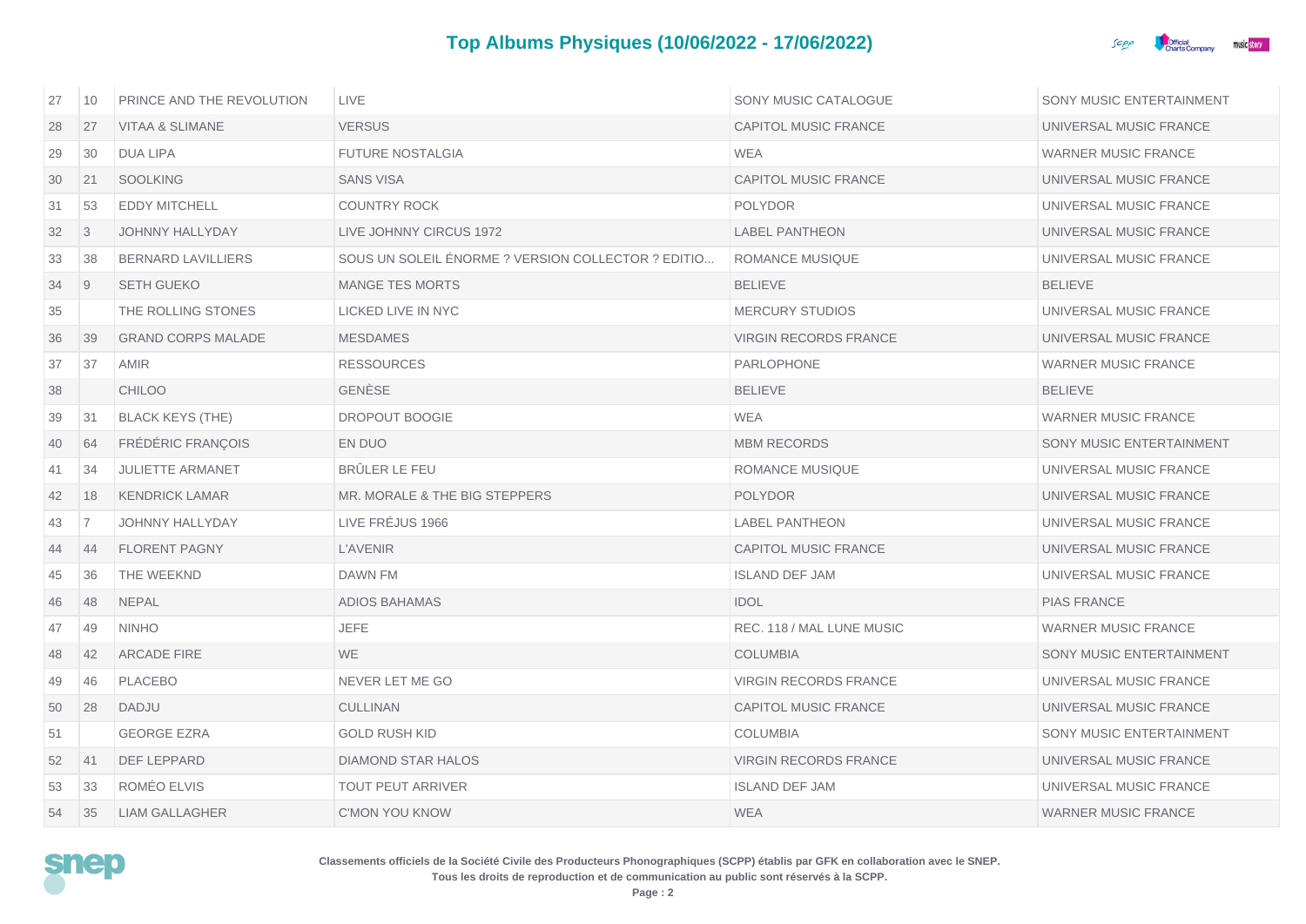

| 27 | 10             | PRINCE AND THE REVOLUTION  | <b>LIVE</b>                                        | SONY MUSIC CATALOGUE         | SONY MUSIC ENTERTAINMENT   |
|----|----------------|----------------------------|----------------------------------------------------|------------------------------|----------------------------|
| 28 | 27             | <b>VITAA &amp; SLIMANE</b> | <b>VERSUS</b>                                      | <b>CAPITOL MUSIC FRANCE</b>  | UNIVERSAL MUSIC FRANCE     |
| 29 | 30             | DUA LIPA                   | <b>FUTURE NOSTALGIA</b>                            | <b>WEA</b>                   | <b>WARNER MUSIC FRANCE</b> |
| 30 | 21             | <b>SOOLKING</b>            | <b>SANS VISA</b>                                   | CAPITOL MUSIC FRANCE         | UNIVERSAL MUSIC FRANCE     |
| 31 | 53             | <b>EDDY MITCHELL</b>       | COUNTRY ROCK                                       | <b>POLYDOR</b>               | UNIVERSAL MUSIC FRANCE     |
| 32 | $\overline{3}$ | <b>JOHNNY HALLYDAY</b>     | LIVE JOHNNY CIRCUS 1972                            | <b>LABEL PANTHEON</b>        | UNIVERSAL MUSIC FRANCE     |
| 33 | 38             | <b>BERNARD LAVILLIERS</b>  | SOUS UN SOLEIL ENORME ? VERSION COLLECTOR ? EDITIO | ROMANCE MUSIQUE              | UNIVERSAL MUSIC FRANCE     |
| 34 | $\overline{9}$ | <b>SETH GUEKO</b>          | <b>MANGE TES MORTS</b>                             | <b>BELIEVE</b>               | <b>BELIEVE</b>             |
| 35 |                | THE ROLLING STONES         | LICKED LIVE IN NYC                                 | <b>MERCURY STUDIOS</b>       | UNIVERSAL MUSIC FRANCE     |
| 36 | 39             | <b>GRAND CORPS MALADE</b>  | <b>MESDAMES</b>                                    | <b>VIRGIN RECORDS FRANCE</b> | UNIVERSAL MUSIC FRANCE     |
| 37 | 37             | AMIR                       | <b>RESSOURCES</b>                                  | PARLOPHONE                   | <b>WARNER MUSIC FRANCE</b> |
| 38 |                | <b>CHILOO</b>              | <b>GENESE</b>                                      | <b>BELIEVE</b>               | <b>BELIEVE</b>             |
| 39 | 31             | <b>BLACK KEYS (THE)</b>    | DROPOUT BOOGIE                                     | WEA                          | <b>WARNER MUSIC FRANCE</b> |
| 40 | 64             | <b>FRÉDÉRIC FRANÇOIS</b>   | EN DUO                                             | <b>MBM RECORDS</b>           | SONY MUSIC ENTERTAINMENT   |
| 41 | 34             | <b>JULIETTE ARMANET</b>    | BRÛLER LE FEU                                      | <b>ROMANCE MUSIQUE</b>       | UNIVERSAL MUSIC FRANCE     |
| 42 | 18             | <b>KENDRICK LAMAR</b>      | MR. MORALE & THE BIG STEPPERS                      | <b>POLYDOR</b>               | UNIVERSAL MUSIC FRANCE     |
| 43 | 7              | <b>JOHNNY HALLYDAY</b>     | LIVE FREJUS 1966                                   | <b>LABEL PANTHEON</b>        | UNIVERSAL MUSIC FRANCE     |
| 44 | 44             | <b>FLORENT PAGNY</b>       | <b>L'AVENIR</b>                                    | CAPITOL MUSIC FRANCE         | UNIVERSAL MUSIC FRANCE     |
| 45 | 36             | THE WEEKND                 | DAWN FM                                            | <b>ISLAND DEF JAM</b>        | UNIVERSAL MUSIC FRANCE     |
| 46 | 48             | <b>NEPAL</b>               | ADIOS BAHAMAS                                      | <b>IDOL</b>                  | <b>PIAS FRANCE</b>         |
| 47 | 49             | <b>NINHO</b>               | <b>JEFE</b>                                        | REC. 118 / MAL LUNE MUSIC    | <b>WARNER MUSIC FRANCE</b> |
| 48 | 42             | <b>ARCADE FIRE</b>         | <b>WE</b>                                          | <b>COLUMBIA</b>              | SONY MUSIC ENTERTAINMENT   |
| 49 | 46             | <b>PLACEBO</b>             | NEVER LET ME GO                                    | <b>VIRGIN RECORDS FRANCE</b> | UNIVERSAL MUSIC FRANCE     |
| 50 | 28             | DADJU                      | <b>CULLINAN</b>                                    | CAPITOL MUSIC FRANCE         | UNIVERSAL MUSIC FRANCE     |
| 51 |                | <b>GEORGE EZRA</b>         | <b>GOLD RUSH KID</b>                               | <b>COLUMBIA</b>              | SONY MUSIC ENTERTAINMENT   |
| 52 | 41             | <b>DEF LEPPARD</b>         | DIAMOND STAR HALOS                                 | VIRGIN RECORDS FRANCE        | UNIVERSAL MUSIC FRANCE     |
| 53 | 33             | ROMÉO ELVIS                | <b>TOUT PEUT ARRIVER</b>                           | <b>ISLAND DEF JAM</b>        | UNIVERSAL MUSIC FRANCE     |
| 54 | 35             | <b>LIAM GALLAGHER</b>      | <b>C'MON YOU KNOW</b>                              | <b>WEA</b>                   | <b>WARNER MUSIC FRANCE</b> |

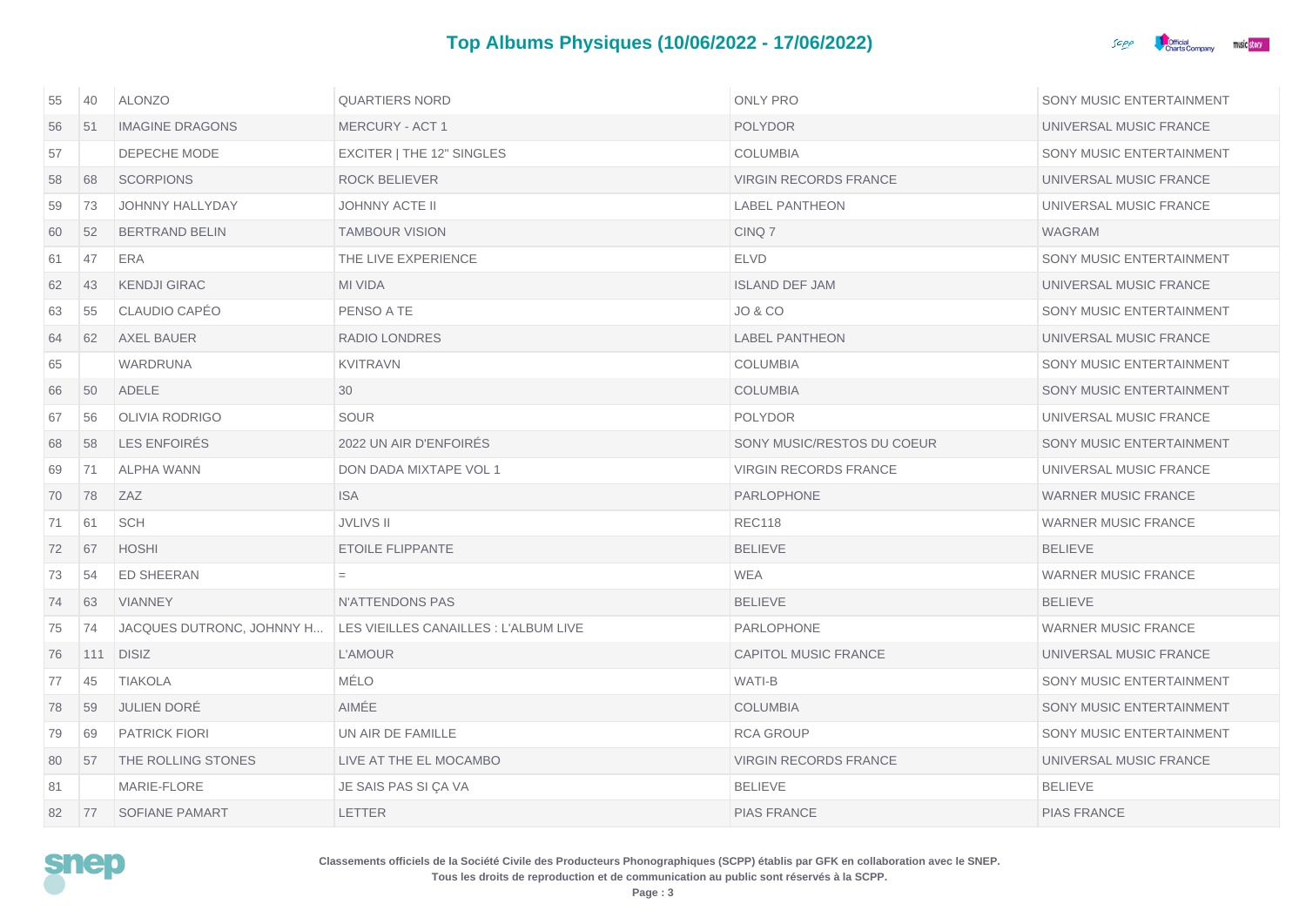

| 55 | 40  | <b>ALONZO</b>             | <b>QUARTIERS NORD</b>                 | <b>ONLY PRO</b>              | SONY MUSIC ENTERTAINMENT   |
|----|-----|---------------------------|---------------------------------------|------------------------------|----------------------------|
| 56 | 51  | <b>IMAGINE DRAGONS</b>    | <b>MERCURY - ACT 1</b>                | <b>POLYDOR</b>               | UNIVERSAL MUSIC FRANCE     |
| 57 |     | DEPECHE MODE              | EXCITER   THE 12" SINGLES             | <b>COLUMBIA</b>              | SONY MUSIC ENTERTAINMENT   |
| 58 | 68  | <b>SCORPIONS</b>          | <b>ROCK BELIEVER</b>                  | <b>VIRGIN RECORDS FRANCE</b> | UNIVERSAL MUSIC FRANCE     |
| 59 | 73  | JOHNNY HALLYDAY           | <b>JOHNNY ACTE II</b>                 | <b>LABEL PANTHEON</b>        | UNIVERSAL MUSIC FRANCE     |
| 60 | 52  | <b>BERTRAND BELIN</b>     | <b>TAMBOUR VISION</b>                 | CINQ 7                       | WAGRAM                     |
| 61 | 47  | ERA                       | THE LIVE EXPERIENCE                   | <b>ELVD</b>                  | SONY MUSIC ENTERTAINMENT   |
| 62 | 43  | <b>KENDJI GIRAC</b>       | <b>MI VIDA</b>                        | <b>ISLAND DEF JAM</b>        | UNIVERSAL MUSIC FRANCE     |
| 63 | 55  | CLAUDIO CAPÉO             | PENSO A TE                            | <b>JO &amp; CO</b>           | SONY MUSIC ENTERTAINMENT   |
| 64 | 62  | <b>AXEL BAUER</b>         | <b>RADIO LONDRES</b>                  | <b>LABEL PANTHEON</b>        | UNIVERSAL MUSIC FRANCE     |
| 65 |     | WARDRUNA                  | <b>KVITRAVN</b>                       | <b>COLUMBIA</b>              | SONY MUSIC ENTERTAINMENT   |
| 66 | 50  | <b>ADELE</b>              | 30                                    | <b>COLUMBIA</b>              | SONY MUSIC ENTERTAINMENT   |
| 67 | 56  | <b>OLIVIA RODRIGO</b>     | <b>SOUR</b>                           | <b>POLYDOR</b>               | UNIVERSAL MUSIC FRANCE     |
| 68 | 58  | LES ENFOIRES              | 2022 UN AIR D'ENFOIRES                | SONY MUSIC/RESTOS DU COEUR   | SONY MUSIC ENTERTAINMENT   |
| 69 | 71  | <b>ALPHA WANN</b>         | <b>DON DADA MIXTAPE VOL 1</b>         | <b>VIRGIN RECORDS FRANCE</b> | UNIVERSAL MUSIC FRANCE     |
| 70 | 78  | ZAZ                       | <b>ISA</b>                            | <b>PARLOPHONE</b>            | <b>WARNER MUSIC FRANCE</b> |
| 71 | 61  | <b>SCH</b>                | <b>JVLIVS II</b>                      | <b>REC118</b>                | <b>WARNER MUSIC FRANCE</b> |
| 72 | 67  | <b>HOSHI</b>              | <b>ETOILE FLIPPANTE</b>               | <b>BELIEVE</b>               | <b>BELIEVE</b>             |
| 73 | 54  | <b>ED SHEERAN</b>         |                                       | <b>WEA</b>                   | <b>WARNER MUSIC FRANCE</b> |
| 74 | 63  | <b>VIANNEY</b>            | N'ATTENDONS PAS                       | <b>BELIEVE</b>               | <b>BELIEVE</b>             |
| 75 | 74  | JACQUES DUTRONC, JOHNNY H | LES VIEILLES CANAILLES : L'ALBUM LIVE | PARLOPHONE                   | <b>WARNER MUSIC FRANCE</b> |
| 76 | 111 | <b>DISIZ</b>              | <b>L'AMOUR</b>                        | <b>CAPITOL MUSIC FRANCE</b>  | UNIVERSAL MUSIC FRANCE     |
| 77 | 45  | <b>TIAKOLA</b>            | <b>MÉLO</b>                           | WATI-B                       | SONY MUSIC ENTERTAINMENT   |
| 78 | 59  | <b>JULIEN DORE</b>        | AIMÉE                                 | <b>COLUMBIA</b>              | SONY MUSIC ENTERTAINMENT   |
| 79 | 69  | <b>PATRICK FIORI</b>      | UN AIR DE FAMILLE                     | <b>RCA GROUP</b>             | SONY MUSIC ENTERTAINMENT   |
| 80 | 57  | THE ROLLING STONES        | LIVE AT THE EL MOCAMBO                | <b>VIRGIN RECORDS FRANCE</b> | UNIVERSAL MUSIC FRANCE     |
| 81 |     | MARIE-FLORE               | JE SAIS PAS SI ÇA VA                  | <b>BELIEVE</b>               | <b>BELIEVE</b>             |
| 82 | 77  | <b>SOFIANE PAMART</b>     | <b>LETTER</b>                         | <b>PIAS FRANCE</b>           | <b>PIAS FRANCE</b>         |

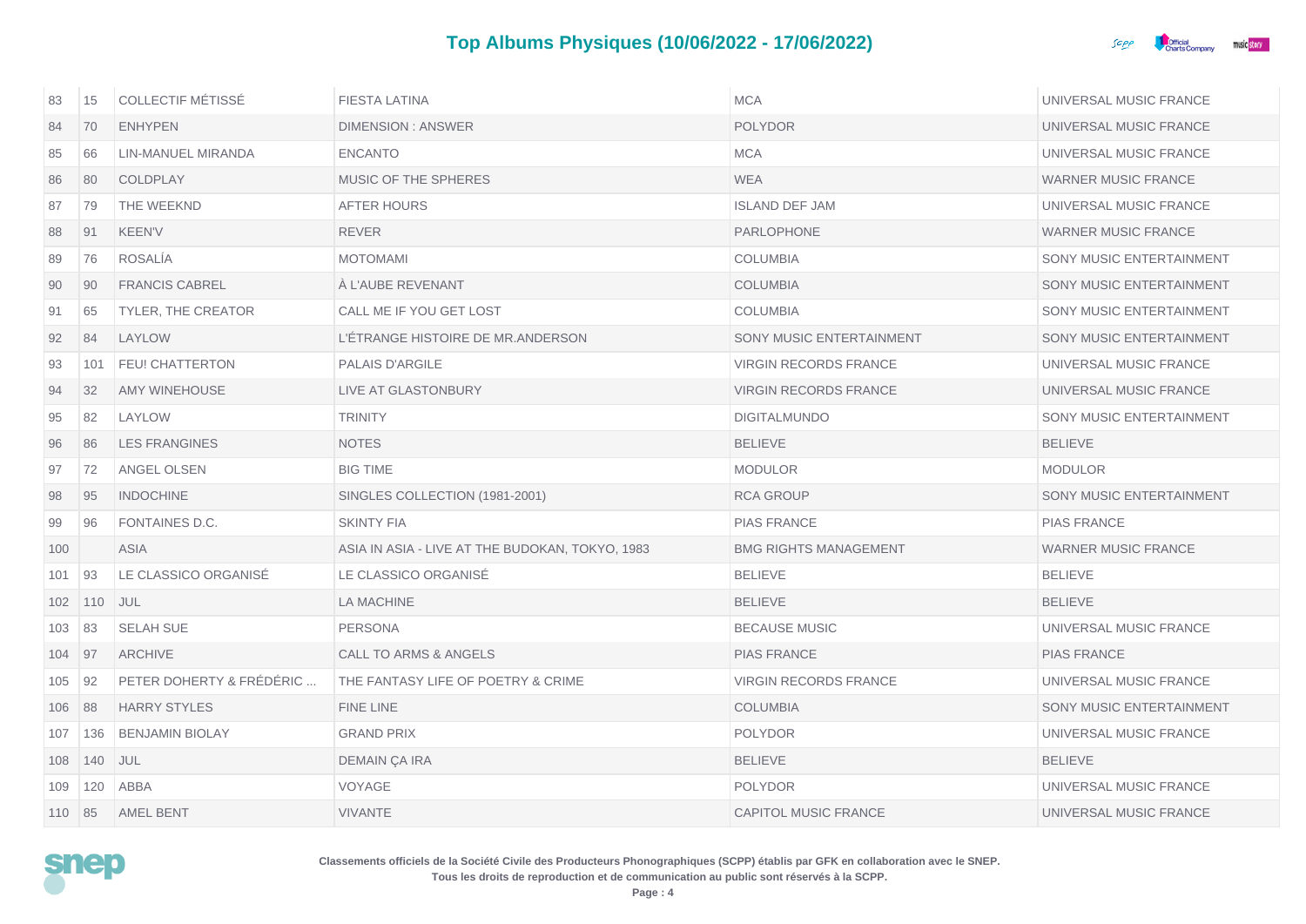

| 83     | 15            | <b>COLLECTIF MÉTISSÉ</b>  | <b>FIESTA LATINA</b>                            | <b>MCA</b>                   | UNIVERSAL MUSIC FRANCE     |
|--------|---------------|---------------------------|-------------------------------------------------|------------------------------|----------------------------|
| 84     | 70            | <b>ENHYPEN</b>            | <b>DIMENSION: ANSWER</b>                        | <b>POLYDOR</b>               | UNIVERSAL MUSIC FRANCE     |
| 85     | 66            | LIN-MANUEL MIRANDA        | <b>ENCANTO</b>                                  | <b>MCA</b>                   | UNIVERSAL MUSIC FRANCE     |
| 86     | 80            | COLDPLAY                  | MUSIC OF THE SPHERES                            | <b>WEA</b>                   | <b>WARNER MUSIC FRANCE</b> |
| 87     | 79            | THE WEEKND                | <b>AFTER HOURS</b>                              | <b>ISLAND DEF JAM</b>        | UNIVERSAL MUSIC FRANCE     |
| 88     | 91            | <b>KEEN'V</b>             | REVER                                           | PARLOPHONE                   | <b>WARNER MUSIC FRANCE</b> |
| 89     | 76            | <b>ROSALIA</b>            | <b>MOTOMAMI</b>                                 | <b>COLUMBIA</b>              | SONY MUSIC ENTERTAINMENT   |
| 90     | 90            | <b>FRANCIS CABREL</b>     | A L'AUBE REVENANT                               | <b>COLUMBIA</b>              | SONY MUSIC ENTERTAINMENT   |
| 91     | 65            | <b>TYLER, THE CREATOR</b> | CALL ME IF YOU GET LOST                         | <b>COLUMBIA</b>              | SONY MUSIC ENTERTAINMENT   |
| 92     | 84            | LAYLOW                    | L'ÉTRANGE HISTOIRE DE MR.ANDERSON               | SONY MUSIC ENTERTAINMENT     | SONY MUSIC ENTERTAINMENT   |
| 93     | 101           | <b>FEU! CHATTERTON</b>    | PALAIS D'ARGILE                                 | <b>VIRGIN RECORDS FRANCE</b> | UNIVERSAL MUSIC FRANCE     |
| 94     | 32            | <b>AMY WINEHOUSE</b>      | <b>LIVE AT GLASTONBURY</b>                      | <b>VIRGIN RECORDS FRANCE</b> | UNIVERSAL MUSIC FRANCE     |
| 95     | 82            | LAYLOW                    | <b>TRINITY</b>                                  | <b>DIGITALMUNDO</b>          | SONY MUSIC ENTERTAINMENT   |
| 96     | 86            | <b>LES FRANGINES</b>      | <b>NOTES</b>                                    | <b>BELIEVE</b>               | <b>BELIEVE</b>             |
| 97     | 72            | ANGEL OLSEN               | <b>BIG TIME</b>                                 | <b>MODULOR</b>               | <b>MODULOR</b>             |
| 98     | 95            | <b>INDOCHINE</b>          | SINGLES COLLECTION (1981-2001)                  | <b>RCA GROUP</b>             | SONY MUSIC ENTERTAINMENT   |
| 99     | 96            | FONTAINES D.C.            | <b>SKINTY FIA</b>                               | <b>PIAS FRANCE</b>           | <b>PIAS FRANCE</b>         |
| 100    |               | <b>ASIA</b>               | ASIA IN ASIA - LIVE AT THE BUDOKAN, TOKYO, 1983 | <b>BMG RIGHTS MANAGEMENT</b> | <b>WARNER MUSIC FRANCE</b> |
| 101    | 93            | LE CLASSICO ORGANISÉ      | LE CLASSICO ORGANISÉ                            | <b>BELIEVE</b>               | <b>BELIEVE</b>             |
| 102    | $ 110\rangle$ | <b>JUL</b>                | LA MACHINE                                      | <b>BELIEVE</b>               | <b>BELIEVE</b>             |
| 103    | 83            | <b>SELAH SUE</b>          | <b>PERSONA</b>                                  | <b>BECAUSE MUSIC</b>         | UNIVERSAL MUSIC FRANCE     |
| 104 97 |               | <b>ARCHIVE</b>            | <b>CALL TO ARMS &amp; ANGELS</b>                | <b>PIAS FRANCE</b>           | <b>PIAS FRANCE</b>         |
| 105    | 92            | PETER DOHERTY & FRÉDÉRIC  | THE FANTASY LIFE OF POETRY & CRIME              | <b>VIRGIN RECORDS FRANCE</b> | UNIVERSAL MUSIC FRANCE     |
| 106    | 88            | <b>HARRY STYLES</b>       | FINE LINE                                       | <b>COLUMBIA</b>              | SONY MUSIC ENTERTAINMENT   |
| 107    | 136           | <b>BENJAMIN BIOLAY</b>    | <b>GRAND PRIX</b>                               | <b>POLYDOR</b>               | UNIVERSAL MUSIC FRANCE     |
| 108    | 140           | JUL                       | DEMAIN ÇA IRA                                   | <b>BELIEVE</b>               | <b>BELIEVE</b>             |
| 109    | 120           | ABBA                      | VOYAGE                                          | <b>POLYDOR</b>               | UNIVERSAL MUSIC FRANCE     |
| 110 85 |               | <b>AMEL BENT</b>          | <b>VIVANTE</b>                                  | CAPITOL MUSIC FRANCE         | UNIVERSAL MUSIC FRANCE     |

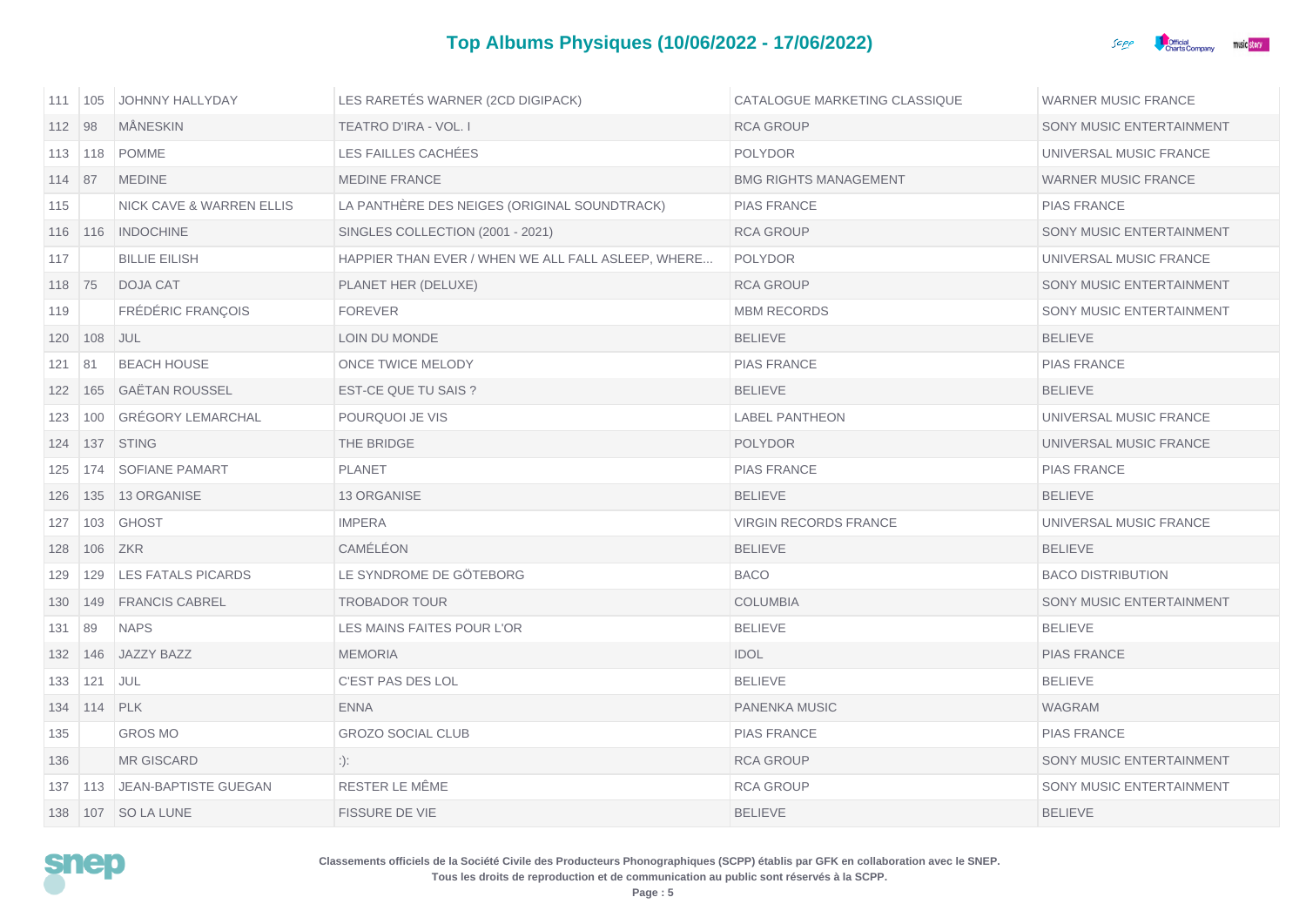

| 111   105      |                 | JOHNNY HALLYDAY                  | LES RARETÉS WARNER (2CD DIGIPACK)                  | CATALOGUE MARKETING CLASSIQUE | <b>WARNER MUSIC FRANCE</b> |
|----------------|-----------------|----------------------------------|----------------------------------------------------|-------------------------------|----------------------------|
| 112 98         |                 | <b>MÄNESKIN</b>                  | TEATRO D'IRA - VOL. I                              | <b>RCA GROUP</b>              | SONY MUSIC ENTERTAINMENT   |
| $113 \mid 118$ |                 | <b>POMME</b>                     | LES FAILLES CACHÉES                                | <b>POLYDOR</b>                | UNIVERSAL MUSIC FRANCE     |
| $114$ 87       |                 | <b>MEDINE</b>                    | <b>MEDINE FRANCE</b>                               | <b>BMG RIGHTS MANAGEMENT</b>  | <b>WARNER MUSIC FRANCE</b> |
| 115            |                 | NICK CAVE & WARREN ELLIS         | LA PANTHÈRE DES NEIGES (ORIGINAL SOUNDTRACK)       | <b>PIAS FRANCE</b>            | <b>PIAS FRANCE</b>         |
|                |                 | 116   116   INDOCHINE            | SINGLES COLLECTION (2001 - 2021)                   | <b>RCA GROUP</b>              | SONY MUSIC ENTERTAINMENT   |
| 117            |                 | <b>BILLIE EILISH</b>             | HAPPIER THAN EVER / WHEN WE ALL FALL ASLEEP, WHERE | <b>POLYDOR</b>                | UNIVERSAL MUSIC FRANCE     |
| 118 75         |                 | <b>DOJA CAT</b>                  | PLANET HER (DELUXE)                                | <b>RCA GROUP</b>              | SONY MUSIC ENTERTAINMENT   |
| 119            |                 | FRÉDÉRIC FRANÇOIS                | <b>FOREVER</b>                                     | <b>MBM RECORDS</b>            | SONY MUSIC ENTERTAINMENT   |
| 120 108        |                 | JUL                              | LOIN DU MONDE                                      | <b>BELIEVE</b>                | <b>BELIEVE</b>             |
| $121$ 81       |                 | <b>BEACH HOUSE</b>               | ONCE TWICE MELODY                                  | <b>PIAS FRANCE</b>            | <b>PIAS FRANCE</b>         |
| 122 165        |                 | <b>GAËTAN ROUSSEL</b>            | EST-CE QUE TU SAIS ?                               | <b>BELIEVE</b>                | <b>BELIEVE</b>             |
| 123            | 100             | <b>GRÉGORY LEMARCHAL</b>         | POURQUOI JE VIS                                    | <b>LABEL PANTHEON</b>         | UNIVERSAL MUSIC FRANCE     |
| 124            |                 | 137 STING                        | THE BRIDGE                                         | <b>POLYDOR</b>                | UNIVERSAL MUSIC FRANCE     |
| 125            | 174             | <b>SOFIANE PAMART</b>            | <b>PLANET</b>                                      | <b>PIAS FRANCE</b>            | <b>PIAS FRANCE</b>         |
|                |                 | 126   135   13 ORGANISE          | <b>13 ORGANISE</b>                                 | <b>BELIEVE</b>                | <b>BELIEVE</b>             |
| 127            | 103             | GHOST                            | <b>IMPERA</b>                                      | <b>VIRGIN RECORDS FRANCE</b>  | UNIVERSAL MUSIC FRANCE     |
|                | 128 106 ZKR     |                                  | CAMÉLÉON                                           | <b>BELIEVE</b>                | <b>BELIEVE</b>             |
|                |                 | 129   129   LES FATALS PICARDS   | LE SYNDROME DE GÖTEBORG                            | <b>BACO</b>                   | <b>BACO DISTRIBUTION</b>   |
| 130            | 149             | <b>FRANCIS CABREL</b>            | <b>TROBADOR TOUR</b>                               | <b>COLUMBIA</b>               | SONY MUSIC ENTERTAINMENT   |
| 131            | 89              | <b>NAPS</b>                      | LES MAINS FAITES POUR L'OR                         | <b>BELIEVE</b>                | <b>BELIEVE</b>             |
|                |                 | 132   146   JAZZY BAZZ           | <b>MEMORIA</b>                                     | <b>IDOL</b>                   | <b>PIAS FRANCE</b>         |
| 133            | 121             | <b>JUL</b>                       | C'EST PAS DES LOL                                  | <b>BELIEVE</b>                | <b>BELIEVE</b>             |
|                | 134   114   PLK |                                  | <b>ENNA</b>                                        | PANENKA MUSIC                 | WAGRAM                     |
| 135            |                 | <b>GROS MO</b>                   | <b>GROZO SOCIAL CLUB</b>                           | <b>PIAS FRANCE</b>            | <b>PIAS FRANCE</b>         |
| 136            |                 | <b>MR GISCARD</b>                | :):                                                | <b>RCA GROUP</b>              | SONY MUSIC ENTERTAINMENT   |
|                |                 | 137   113   JEAN-BAPTISTE GUEGAN | RESTER LE MÊME                                     | <b>RCA GROUP</b>              | SONY MUSIC ENTERTAINMENT   |
|                |                 | 138   107   SO LA LUNE           | <b>FISSURE DE VIE</b>                              | <b>BELIEVE</b>                | <b>BELIEVE</b>             |

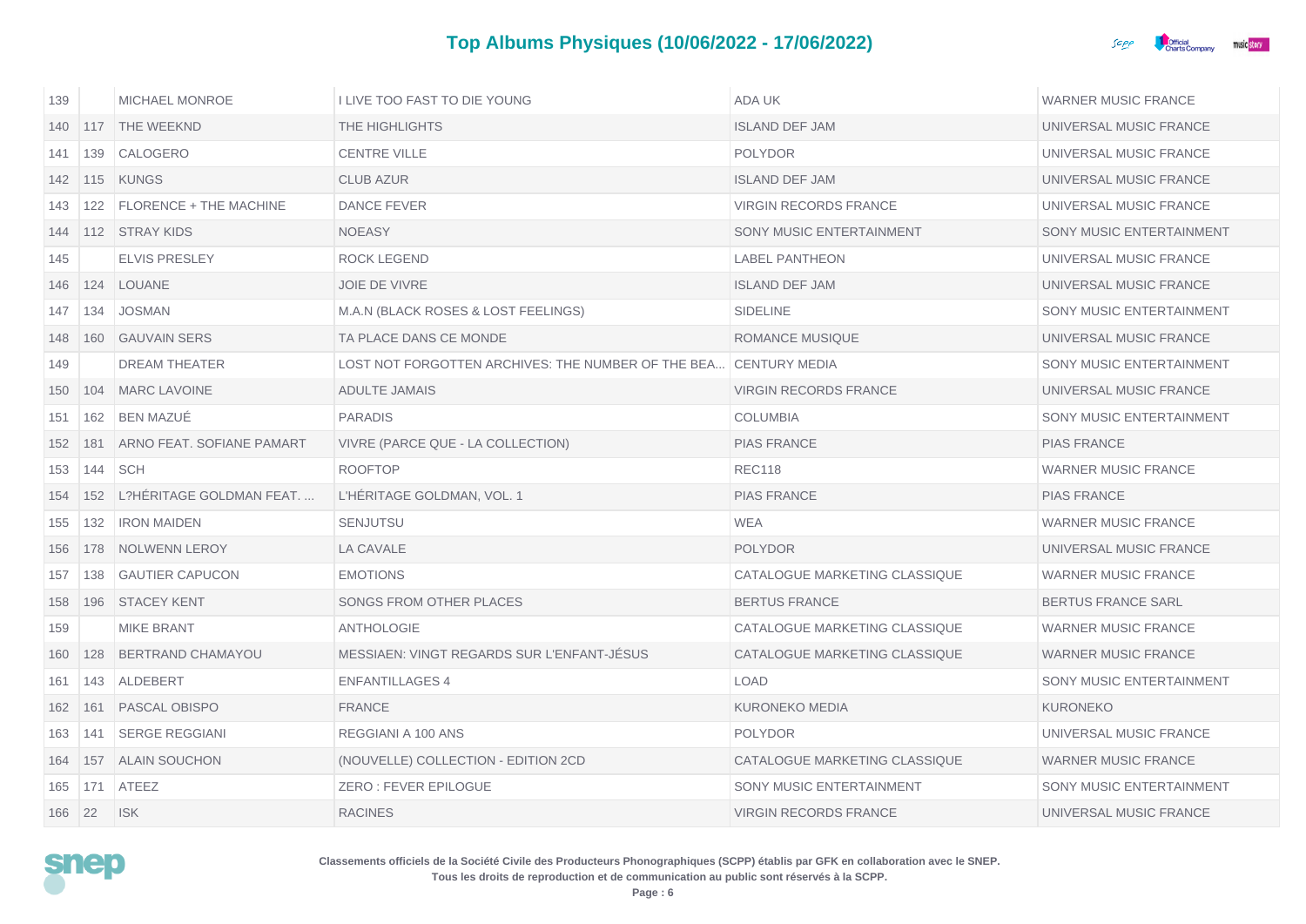

| 139 |     | <b>MICHAEL MONROE</b>     | I LIVE TOO FAST TO DIE YOUNG                       | ADA UK                        | <b>WARNER MUSIC FRANCE</b> |
|-----|-----|---------------------------|----------------------------------------------------|-------------------------------|----------------------------|
| 140 |     | 117 THE WEEKND            | THE HIGHLIGHTS                                     | <b>ISLAND DEF JAM</b>         | UNIVERSAL MUSIC FRANCE     |
| 141 |     | 139 CALOGERO              | <b>CENTRE VILLE</b>                                | <b>POLYDOR</b>                | UNIVERSAL MUSIC FRANCE     |
| 142 |     | 115 KUNGS                 | <b>CLUB AZUR</b>                                   | <b>ISLAND DEF JAM</b>         | UNIVERSAL MUSIC FRANCE     |
| 143 | 122 | FLORENCE + THE MACHINE    | <b>DANCE FEVER</b>                                 | <b>VIRGIN RECORDS FRANCE</b>  | UNIVERSAL MUSIC FRANCE     |
| 144 |     | 112 STRAY KIDS            | <b>NOEASY</b>                                      | SONY MUSIC ENTERTAINMENT      | SONY MUSIC ENTERTAINMENT   |
| 145 |     | ELVIS PRESLEY             | <b>ROCK LEGEND</b>                                 | <b>LABEL PANTHEON</b>         | UNIVERSAL MUSIC FRANCE     |
| 146 | 124 | LOUANE                    | <b>JOIE DE VIVRE</b>                               | <b>ISLAND DEF JAM</b>         | UNIVERSAL MUSIC FRANCE     |
| 147 | 134 | <b>JOSMAN</b>             | M.A.N (BLACK ROSES & LOST FEELINGS)                | <b>SIDELINE</b>               | SONY MUSIC ENTERTAINMENT   |
| 148 |     | 160 GAUVAIN SERS          | TA PLACE DANS CE MONDE                             | <b>ROMANCE MUSIQUE</b>        | UNIVERSAL MUSIC FRANCE     |
| 149 |     | <b>DREAM THEATER</b>      | LOST NOT FORGOTTEN ARCHIVES: THE NUMBER OF THE BEA | <b>CENTURY MEDIA</b>          | SONY MUSIC ENTERTAINMENT   |
| 150 | 104 | <b>MARC LAVOINE</b>       | <b>ADULTE JAMAIS</b>                               | <b>VIRGIN RECORDS FRANCE</b>  | UNIVERSAL MUSIC FRANCE     |
| 151 | 162 | <b>BEN MAZUÉ</b>          | <b>PARADIS</b>                                     | <b>COLUMBIA</b>               | SONY MUSIC ENTERTAINMENT   |
| 152 | 181 | ARNO FEAT, SOFIANE PAMART | VIVRE (PARCE QUE - LA COLLECTION)                  | <b>PIAS FRANCE</b>            | <b>PIAS FRANCE</b>         |
| 153 | 144 | <b>SCH</b>                | <b>ROOFTOP</b>                                     | <b>REC118</b>                 | <b>WARNER MUSIC FRANCE</b> |
| 154 | 152 | L?HÉRITAGE GOLDMAN FEAT   | L'HÉRITAGE GOLDMAN, VOL. 1                         | <b>PIAS FRANCE</b>            | <b>PIAS FRANCE</b>         |
| 155 | 132 | <b>IRON MAIDEN</b>        | <b>SENJUTSU</b>                                    | <b>WEA</b>                    | <b>WARNER MUSIC FRANCE</b> |
| 156 | 178 | NOLWENN LEROY             | LA CAVALE                                          | <b>POLYDOR</b>                | UNIVERSAL MUSIC FRANCE     |
| 157 | 138 | <b>GAUTIER CAPUCON</b>    | <b>EMOTIONS</b>                                    | CATALOGUE MARKETING CLASSIQUE | <b>WARNER MUSIC FRANCE</b> |
| 158 |     | 196 STACEY KENT           | SONGS FROM OTHER PLACES                            | <b>BERTUS FRANCE</b>          | <b>BERTUS FRANCE SARL</b>  |
| 159 |     | <b>MIKE BRANT</b>         | ANTHOLOGIE                                         | CATALOGUE MARKETING CLASSIQUE | <b>WARNER MUSIC FRANCE</b> |
| 160 | 128 | <b>BERTRAND CHAMAYOU</b>  | MESSIAEN: VINGT REGARDS SUR L'ENFANT-JESUS         | CATALOGUE MARKETING CLASSIQUE | <b>WARNER MUSIC FRANCE</b> |
| 161 | 143 | ALDEBERT                  | <b>ENFANTILLAGES 4</b>                             | <b>LOAD</b>                   | SONY MUSIC ENTERTAINMENT   |
| 162 | 161 | PASCAL OBISPO             | <b>FRANCE</b>                                      | <b>KURONEKO MEDIA</b>         | <b>KURONEKO</b>            |
| 163 | 141 | <b>SERGE REGGIANI</b>     | REGGIANI A 100 ANS                                 | <b>POLYDOR</b>                | UNIVERSAL MUSIC FRANCE     |
| 164 | 157 | <b>ALAIN SOUCHON</b>      | (NOUVELLE) COLLECTION - EDITION 2CD                | CATALOGUE MARKETING CLASSIQUE | <b>WARNER MUSIC FRANCE</b> |
| 165 | 171 | ATEEZ                     | ZERO: FEVER EPILOGUE                               | SONY MUSIC ENTERTAINMENT      | SONY MUSIC ENTERTAINMENT   |
| 166 | 22  | <b>ISK</b>                | <b>RACINES</b>                                     | <b>VIRGIN RECORDS FRANCE</b>  | UNIVERSAL MUSIC FRANCE     |

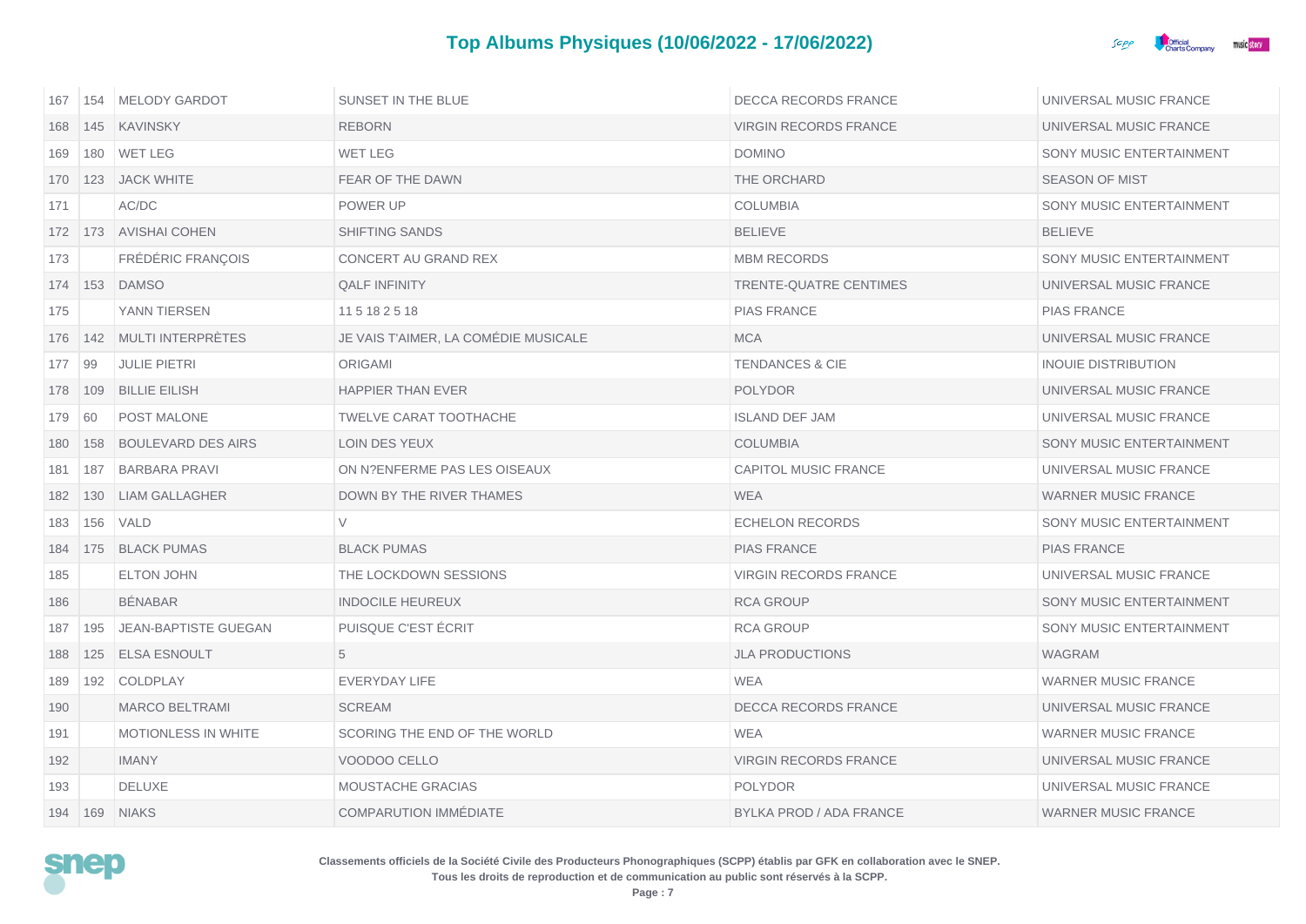

| 167    | 154 | MELODY GARDOT               | SUNSET IN THE BLUE                   | DECCA RECORDS FRANCE         | UNIVERSAL MUSIC FRANCE     |
|--------|-----|-----------------------------|--------------------------------------|------------------------------|----------------------------|
| 168    |     | 145 KAVINSKY                | <b>REBORN</b>                        | <b>VIRGIN RECORDS FRANCE</b> | UNIVERSAL MUSIC FRANCE     |
| 169    |     | 180 WET LEG                 | <b>WET LEG</b>                       | <b>DOMINO</b>                | SONY MUSIC ENTERTAINMENT   |
|        |     | 170   123   JACK WHITE      | FEAR OF THE DAWN                     | THE ORCHARD                  | <b>SEASON OF MIST</b>      |
| 171    |     | AC/DC                       | POWER UP                             | <b>COLUMBIA</b>              | SONY MUSIC ENTERTAINMENT   |
|        |     | 172 173 AVISHAI COHEN       | <b>SHIFTING SANDS</b>                | <b>BELIEVE</b>               | <b>BELIEVE</b>             |
| 173    |     | FRÉDÉRIC FRANÇOIS           | CONCERT AU GRAND REX                 | <b>MBM RECORDS</b>           | SONY MUSIC ENTERTAINMENT   |
|        |     | 174   153   DAMSO           | <b>QALF INFINITY</b>                 | TRENTE-QUATRE CENTIMES       | UNIVERSAL MUSIC FRANCE     |
| 175    |     | YANN TIERSEN                | 115182518                            | <b>PIAS FRANCE</b>           | <b>PIAS FRANCE</b>         |
|        |     | 176 142 MULTI INTERPRÈTES   | JE VAIS T'AIMER. LA COMÉDIE MUSICALE | <b>MCA</b>                   | UNIVERSAL MUSIC FRANCE     |
| 177    | 99  | <b>JULIE PIETRI</b>         | <b>ORIGAMI</b>                       | <b>TENDANCES &amp; CIE</b>   | <b>INOUIE DISTRIBUTION</b> |
| 178    | 109 | <b>BILLIE EILISH</b>        | <b>HAPPIER THAN EVER</b>             | <b>POLYDOR</b>               | UNIVERSAL MUSIC FRANCE     |
| 179 60 |     | POST MALONE                 | TWELVE CARAT TOOTHACHE               | <b>ISLAND DEF JAM</b>        | UNIVERSAL MUSIC FRANCE     |
| 180    | 158 | <b>BOULEVARD DES AIRS</b>   | LOIN DES YEUX                        | <b>COLUMBIA</b>              | SONY MUSIC ENTERTAINMENT   |
| 181    | 187 | <b>BARBARA PRAVI</b>        | ON N?ENFERME PAS LES OISEAUX         | CAPITOL MUSIC FRANCE         | UNIVERSAL MUSIC FRANCE     |
| 182    | 130 | <b>LIAM GALLAGHER</b>       | DOWN BY THE RIVER THAMES             | <b>WEA</b>                   | <b>WARNER MUSIC FRANCE</b> |
| 183    | 156 | VALD                        | V                                    | <b>ECHELON RECORDS</b>       | SONY MUSIC ENTERTAINMENT   |
| 184    |     | 175 BLACK PUMAS             | <b>BLACK PUMAS</b>                   | <b>PIAS FRANCE</b>           | <b>PIAS FRANCE</b>         |
| 185    |     | <b>ELTON JOHN</b>           | THE LOCKDOWN SESSIONS                | <b>VIRGIN RECORDS FRANCE</b> | UNIVERSAL MUSIC FRANCE     |
| 186    |     | <b>BENABAR</b>              | <b>INDOCILE HEUREUX</b>              | <b>RCA GROUP</b>             | SONY MUSIC ENTERTAINMENT   |
| 187    | 195 | <b>JEAN-BAPTISTE GUEGAN</b> | PUISQUE C'EST ÉCRIT                  | <b>RCA GROUP</b>             | SONY MUSIC ENTERTAINMENT   |
| 188    | 125 | <b>ELSA ESNOULT</b>         | 5                                    | <b>JLA PRODUCTIONS</b>       | <b>WAGRAM</b>              |
| 189    | 192 | <b>COLDPLAY</b>             | EVERYDAY LIFE                        | WEA                          | <b>WARNER MUSIC FRANCE</b> |
| 190    |     | <b>MARCO BELTRAMI</b>       | <b>SCREAM</b>                        | <b>DECCA RECORDS FRANCE</b>  | UNIVERSAL MUSIC FRANCE     |
| 191    |     | MOTIONLESS IN WHITE         | SCORING THE END OF THE WORLD         | <b>WEA</b>                   | <b>WARNER MUSIC FRANCE</b> |
| 192    |     | <b>IMANY</b>                | VOODOO CELLO                         | <b>VIRGIN RECORDS FRANCE</b> | UNIVERSAL MUSIC FRANCE     |
| 193    |     | <b>DELUXE</b>               | <b>MOUSTACHE GRACIAS</b>             | <b>POLYDOR</b>               | UNIVERSAL MUSIC FRANCE     |
|        |     | 194   169   NIAKS           | COMPARUTION IMMÉDIATE                | BYLKA PROD / ADA FRANCE      | <b>WARNER MUSIC FRANCE</b> |